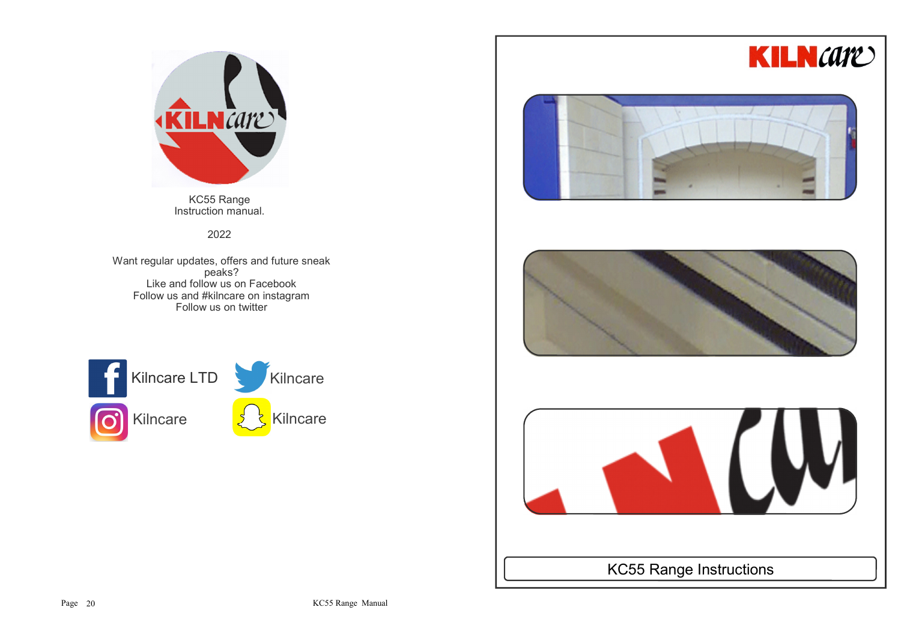



KC55 Range Instruction manual.

2022

Want regular updates, offers and future sneak peaks? Like and follow us on Facebook Follow us and #kilncare on instagramFollow us on twitter









KC55 Range Instructions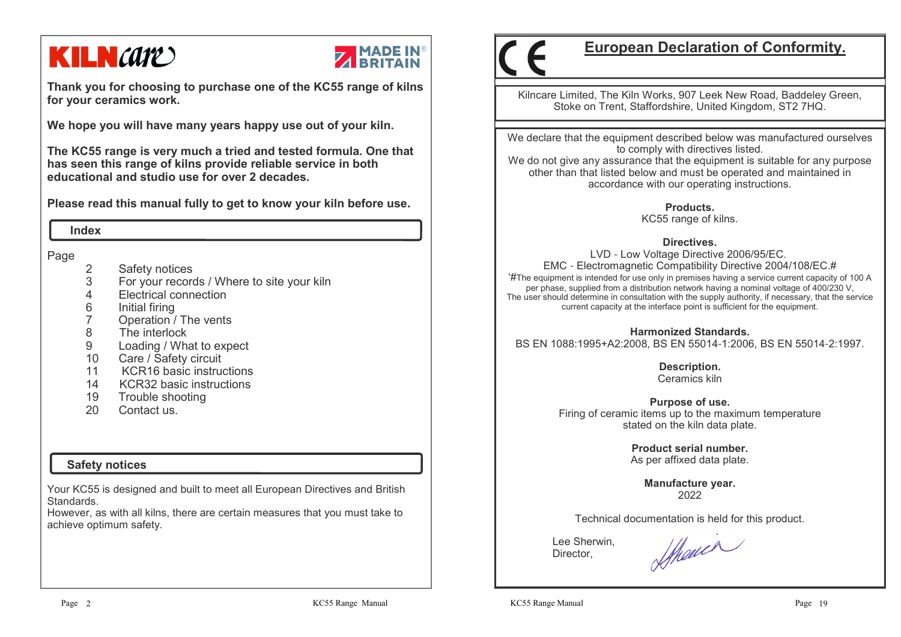# **KILN** *care*



**Thank you for choosing to purchase one of the KC55 range of kilns for your ceramics work.**

**We hope you will have many years happy use out of your kiln.** 

**The KC55 range is very much a tried and tested formula. One that has seen this range of kilns provide reliable service in both educational and studio use for over 2 decades.**

**Please read this manual fully to get to know your kiln before use.**

 **Index**

Page

- 2 Safety notices<br>3 For your record
- 3 For your records / Where to site your kiln
- 4 Electrical connection
- 6 Initial firing<br>7 Operation /
- 7 Operation / The vents
- 8 The interlock
- 9 Loading / What to expect
- 10 Care / Safety circuit
- 11 KCR16 basic instructions
- 14 KCR32 basic instructions
- 19 Trouble shooting<br>20 Contact us
- Contact us.

## **Safety notices**

Your KC55 is designed and built to meet all European Directives and British Standards.

 However, as with all kilns, there are certain measures that you must take to achieve optimum safety.

## **European Declaration of Conformity.**

Kilncare Limited, The Kiln Works, 907 Leek New Road, Baddeley Green, Stoke on Trent, Staffordshire, United Kingdom, ST2 7HQ.

We declare that the equipment described below was manufactured ourselves to comply with directives listed.

 We do not give any assurance that the equipment is suitable for any purpose other than that listed below and must be operated and maintained in accordance with our operating instructions.

> **Products.**KC55 range of kilns.

### **Directives.**

 LVD - Low Voltage Directive 2006/95/EC. EMC - Electromagnetic Compatibility Directive 2004/108/EC.# '#The equipment is intended for use only in premises having a service current capacity of 100 A per phase, supplied from a distribution network having a nominal voltage of 400/230 V, The user should determine in consultation with the supply authority, if necessary, that the service current capacity at the interface point is sufficient for the equipment.

### **Harmonized Standards.**

BS EN 1088:1995+A2:2008, BS EN 55014-1:2006, BS EN 55014-2:1997.

**Description.** Ceramics kiln

**Purpose of use.** Firing of ceramic items up to the maximum temperature stated on the kiln data plate.

> **Product serial number.**As per affixed data plate.

> > **Manufacture year.**2022

Technical documentation is held for this product.

 Lee Sherwin,Director,

Showin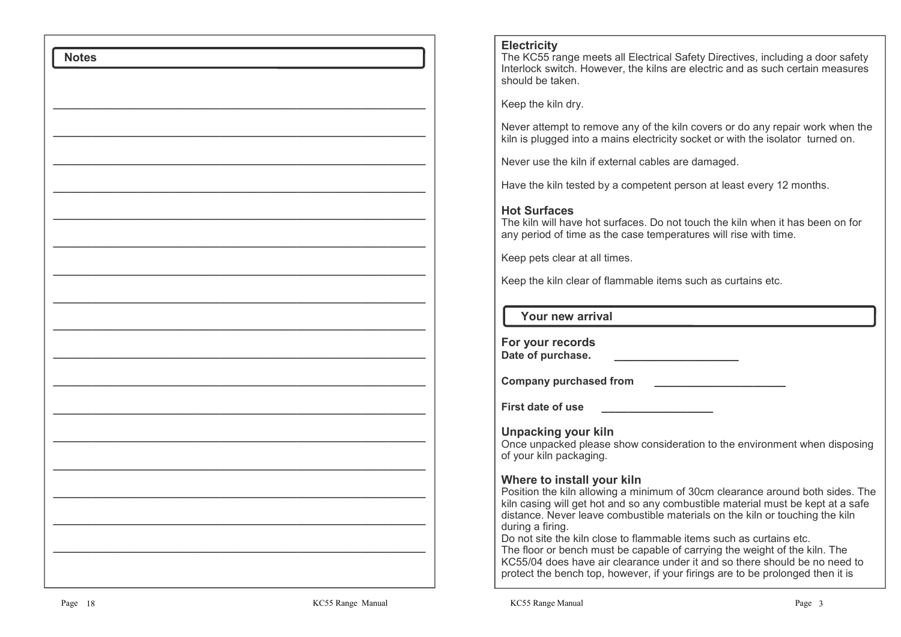### **Electricity**

 The KC55 range meets all Electrical Safety Directives, including a door safety Interlock switch. However, the kilns are electric and as such certain measures should be taken.

Keep the kiln dry.

Never attempt to remove any of the kiln covers or do any repair work when the kiln is plugged into a mains electricity socket or with the isolator turned on.

Never use the kiln if external cables are damaged.

Have the kiln tested by a competent person at least every 12 months.

### **Hot Surfaces**

 The kiln will have hot surfaces. Do not touch the kiln when it has been on for any period of time as the case temperatures will rise with time.

Keep pets clear at all times.

Keep the kiln clear of flammable items such as curtains etc.

### **Your new arrival**

**For your recordsDate of purchase. \_\_\_\_\_\_\_\_\_\_\_\_\_\_\_\_\_\_\_**

**Company purchased from \_\_\_\_\_\_\_\_\_\_\_\_\_\_\_\_\_\_\_\_**

**First date of use** 

**Unpacking your kiln** Once unpacked please show consideration to the environment when disposing of your kiln packaging.

### **Where to install your kiln**

 Position the kiln allowing a minimum of 30cm clearance around both sides. The kiln casing will get hot and so any combustible material must be kept at a safe distance. Never leave combustible materials on the kiln or touching the kiln during a firing.

 Do not site the kiln close to flammable items such as curtains etc. The floor or bench must be capable of carrying the weight of the kiln. The KC55/04 does have air clearance under it and so there should be no need to protect the bench top, however, if your firings are to be prolonged then it is

 **Notes**

—————————————————————————————

—————————————————————————————

————————————————————————————— —————————————————————————————

—————————————————————————————

—————————————————————————————

————————————————————————————— —————————————————————————————

—————————————————————————————

————————————————————————————— —————————————————————————————

—————————————————————————————

—————————————————————————————

 $\mathcal{L}=\{1,2,3,4,5\}$ 

—————————————————————————————

—————————————————————————————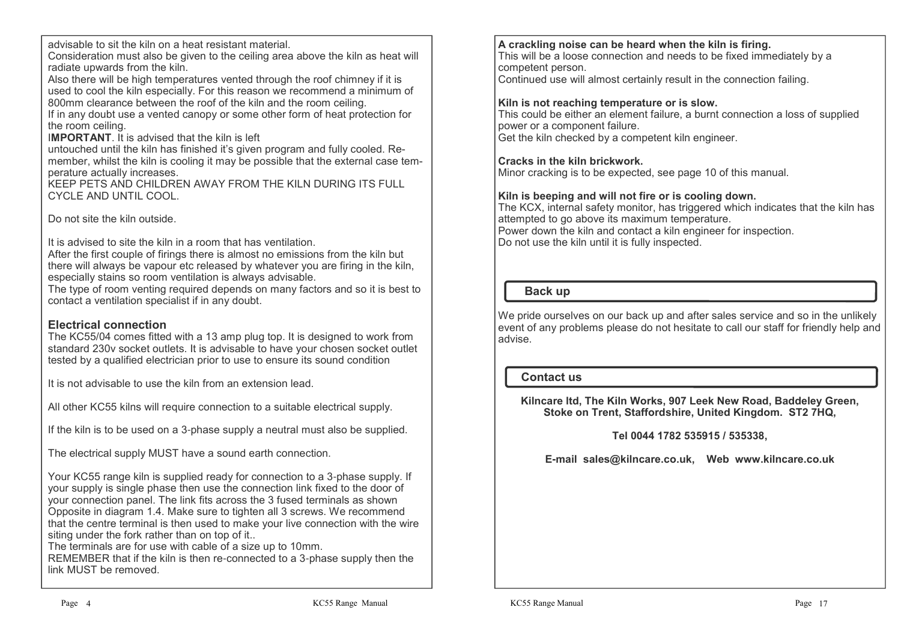advisable to sit the kiln on a heat resistant material.

 Consideration must also be given to the ceiling area above the kiln as heat will radiate upwards from the kiln.

 Also there will be high temperatures vented through the roof chimney if it is used to cool the kiln especially. For this reason we recommend a minimum of 800mm clearance between the roof of the kiln and the room ceiling.

 If in any doubt use a vented canopy or some other form of heat protection for the room ceiling.

## I**MPORTANT**. It is advised that the kiln is left

 untouched until the kiln has finished it's given program and fully cooled. Remember, whilst the kiln is cooling it may be possible that the external case temperature actually increases.

 KEEP PETS AND CHILDREN AWAY FROM THE KILN DURING ITS FULL CYCLE AND UNTIL COOL.

Do not site the kiln outside.

It is advised to site the kiln in a room that has ventilation.

 After the first couple of firings there is almost no emissions from the kiln but there will always be vapour etc released by whatever you are firing in the kiln, especially stains so room ventilation is always advisable.

 The type of room venting required depends on many factors and so it is best to contact a ventilation specialist if in any doubt.

## **Electrical connection**

 The KC55/04 comes fitted with a 13 amp plug top. It is designed to work from standard 230v socket outlets. It is advisable to have your chosen socket outlet tested by a qualified electrician prior to use to ensure its sound condition

It is not advisable to use the kiln from an extension lead.

All other KC55 kilns will require connection to a suitable electrical supply.

If the kiln is to be used on a 3-phase supply a neutral must also be supplied.

The electrical supply MUST have a sound earth connection.

Your KC55 range kiln is supplied ready for connection to a 3-phase supply. If your supply is single phase then use the connection link fixed to the door of your connection panel. The link fits across the 3 fused terminals as shown Opposite in diagram 1.4. Make sure to tighten all 3 screws. We recommend that the centre terminal is then used to make your live connection with the wire siting under the fork rather than on top of it..

The terminals are for use with cable of a size up to 10mm.

 REMEMBER that if the kiln is then re-connected to a 3-phase supply then the link MUST be removed.

## **A crackling noise can be heard when the kiln is firing.**

 This will be a loose connection and needs to be fixed immediately by a competent person.

Continued use will almost certainly result in the connection failing.

## **Kiln is not reaching temperature or is slow.**

 This could be either an element failure, a burnt connection a loss of supplied power or a component failure. Get the kiln checked by a competent kiln engineer.

## **Cracks in the kiln brickwork.**

Minor cracking is to be expected, see page 10 of this manual.

## **Kiln is beeping and will not fire or is cooling down.**

 The KCX, internal safety monitor, has triggered which indicates that the kiln has attempted to go above its maximum temperature.Power down the kiln and contact a kiln engineer for inspection.

Do not use the kiln until it is fully inspected.

### **Back up**

We pride ourselves on our back up and after sales service and so in the unlikely event of any problems please do not hesitate to call our staff for friendly help and advise.

### **Contact us**

**Kilncare ltd, The Kiln Works, 907 Leek New Road, Baddeley Green, Stoke on Trent, Staffordshire, United Kingdom. ST2 7HQ,**

## **Tel 0044 1782 535915 / 535338,**

**E-mail sales@kilncare.co.uk, Web www.kilncare.co.uk**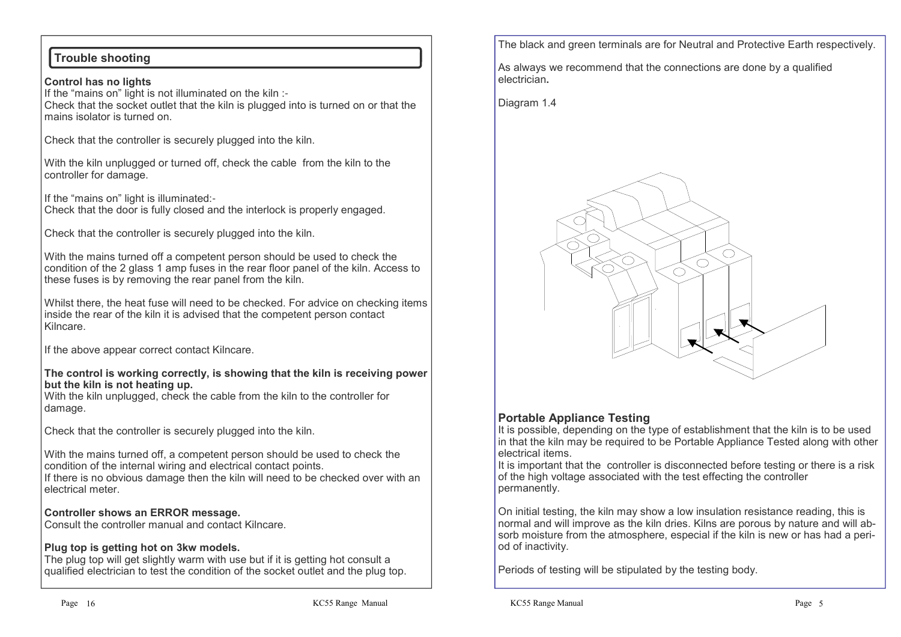## **Trouble shooting**

**Control has no lights** If the "mains on" light is not illuminated on the kiln :- Check that the socket outlet that the kiln is plugged into is turned on or that the mains isolator is turned on.

Check that the controller is securely plugged into the kiln.

With the kiln unplugged or turned off, check the cable from the kiln to the controller for damage.

If the "mains on" light is illuminated:- Check that the door is fully closed and the interlock is properly engaged.

Check that the controller is securely plugged into the kiln.

With the mains turned off a competent person should be used to check the condition of the 2 glass 1 amp fuses in the rear floor panel of the kiln. Access to these fuses is by removing the rear panel from the kiln.

Whilst there, the heat fuse will need to be checked. For advice on checking items inside the rear of the kiln it is advised that the competent person contact Kilncare.

If the above appear correct contact Kilncare.

#### **The control is working correctly, is showing that the kiln is receiving power but the kiln is not heating up.**

 With the kiln unplugged, check the cable from the kiln to the controller for damage.

Check that the controller is securely plugged into the kiln.

With the mains turned off, a competent person should be used to check the condition of the internal wiring and electrical contact points.

 If there is no obvious damage then the kiln will need to be checked over with an electrical meter.

### **Controller shows an ERROR message.**

Consult the controller manual and contact Kilncare.

### **Plug top is getting hot on 3kw models.**

 The plug top will get slightly warm with use but if it is getting hot consult a qualified electrician to test the condition of the socket outlet and the plug top. The black and green terminals are for Neutral and Protective Earth respectively.

As always we recommend that the connections are done by a qualified electrician**.**

Diagram 1.4



## **Portable Appliance Testing**

 It is possible, depending on the type of establishment that the kiln is to be used in that the kiln may be required to be Portable Appliance Tested along with other electrical items.

 It is important that the controller is disconnected before testing or there is a risk of the high voltage associated with the test effecting the controller permanently.

On initial testing, the kiln may show a low insulation resistance reading, this is normal and will improve as the kiln dries. Kilns are porous by nature and will absorb moisture from the atmosphere, especial if the kiln is new or has had a period of inactivity.

Periods of testing will be stipulated by the testing body.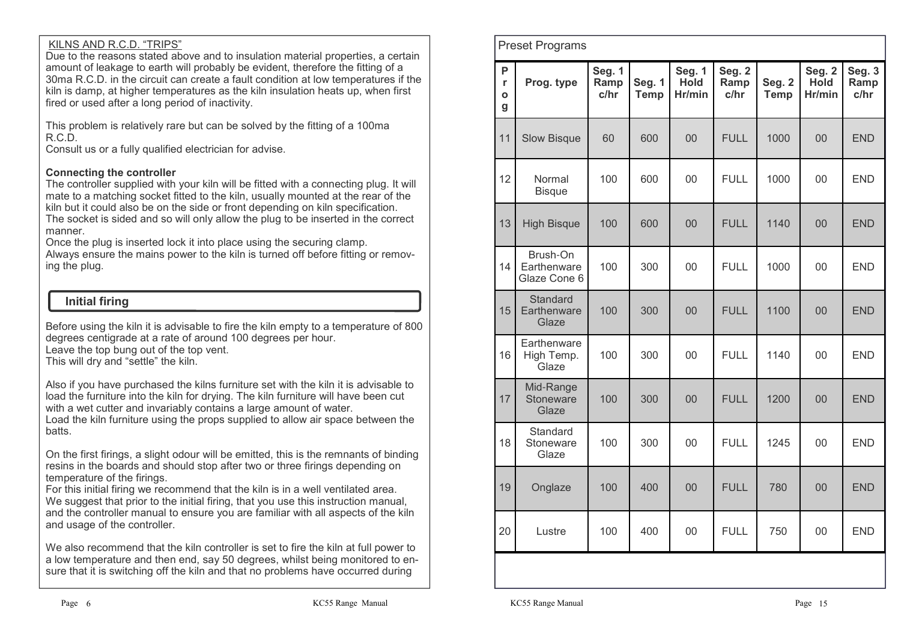### KILNS AND R.C.D. "TRIPS"

 Due to the reasons stated above and to insulation material properties, a certain amount of leakage to earth will probably be evident, therefore the fitting of a 30ma R.C.D. in the circuit can create a fault condition at low temperatures if the kiln is damp, at higher temperatures as the kiln insulation heats up, when first fired or used after a long period of inactivity.

This problem is relatively rare but can be solved by the fitting of a 100ma R.C.D.

Consult us or a fully qualified electrician for advise.

## **Connecting the controller**

 The controller supplied with your kiln will be fitted with a connecting plug. It will mate to a matching socket fitted to the kiln, usually mounted at the rear of the kiln but it could also be on the side or front depending on kiln specification.

 The socket is sided and so will only allow the plug to be inserted in the correct manner.

Once the plug is inserted lock it into place using the securing clamp.

 Always ensure the mains power to the kiln is turned off before fitting or removing the plug.

## **Initial firing**

Before using the kiln it is advisable to fire the kiln empty to a temperature of 800 degrees centigrade at a rate of around 100 degrees per hour. Leave the top bung out of the top vent.

This will dry and "settle" the kiln.

Also if you have purchased the kilns furniture set with the kiln it is advisable to load the furniture into the kiln for drying. The kiln furniture will have been cut with a wet cutter and invariably contains a large amount of water.

 Load the kiln furniture using the props supplied to allow air space between the batts.

On the first firings, a slight odour will be emitted, this is the remnants of binding resins in the boards and should stop after two or three firings depending on temperature of the firings.

 For this initial firing we recommend that the kiln is in a well ventilated area. We suggest that prior to the initial firing, that you use this instruction manual, and the controller manual to ensure you are familiar with all aspects of the kiln and usage of the controller.

We also recommend that the kiln controller is set to fire the kiln at full power to a low temperature and then end, say 50 degrees, whilst being monitored to ensure that it is switching off the kiln and that no problems have occurred during

| P<br>r<br>O<br>g | Prog. type                              | <b>Seg. 1</b><br>Ramp<br>c/hr | <b>Seg. 1</b><br><b>Temp</b> | <b>Seg. 1</b><br><b>Hold</b><br>Hr/min | Seg. 2<br>Ramp<br>c/hr | Seg. 2<br><b>Temp</b> | Seg. 2<br><b>Hold</b><br>Hr/min | Seg. 3<br>Ramp<br>c/hr |
|------------------|-----------------------------------------|-------------------------------|------------------------------|----------------------------------------|------------------------|-----------------------|---------------------------------|------------------------|
| 11               | <b>Slow Bisque</b>                      | 60                            | 600                          | 00                                     | <b>FULL</b>            | 1000                  | 00                              | <b>END</b>             |
| 12               | Normal<br><b>Bisque</b>                 | 100                           | 600                          | 00                                     | <b>FULL</b>            | 1000                  | 00                              | <b>END</b>             |
| 13               | <b>High Bisque</b>                      | 100                           | 600                          | 00                                     | <b>FULL</b>            | 1140                  | 00                              | <b>END</b>             |
| 14               | Brush-On<br>Earthenware<br>Glaze Cone 6 | 100                           | 300                          | 00                                     | <b>FULL</b>            | 1000                  | 00                              | <b>END</b>             |
| 15               | Standard<br>Earthenware<br>Glaze        | 100                           | 300                          | 00                                     | <b>FULL</b>            | 1100                  | 00                              | <b>END</b>             |
| 16               | Earthenware<br>High Temp.<br>Glaze      | 100                           | 300                          | 00                                     | <b>FULL</b>            | 1140                  | 00                              | <b>END</b>             |
| 17               | Mid-Range<br>Stoneware<br>Glaze         | 100                           | 300                          | 00                                     | <b>FULL</b>            | 1200                  | 00                              | <b>END</b>             |
| 18               | Standard<br>Stoneware<br>Glaze          | 100                           | 300                          | 00                                     | <b>FULL</b>            | 1245                  | 00                              | <b>END</b>             |
| 19               | Onglaze                                 | 100                           | 400                          | 00                                     | <b>FULL</b>            | 780                   | 00                              | <b>END</b>             |
| 20               | Lustre                                  | 100                           | 400                          | 00                                     | <b>FULL</b>            | 750                   | 00                              | <b>END</b>             |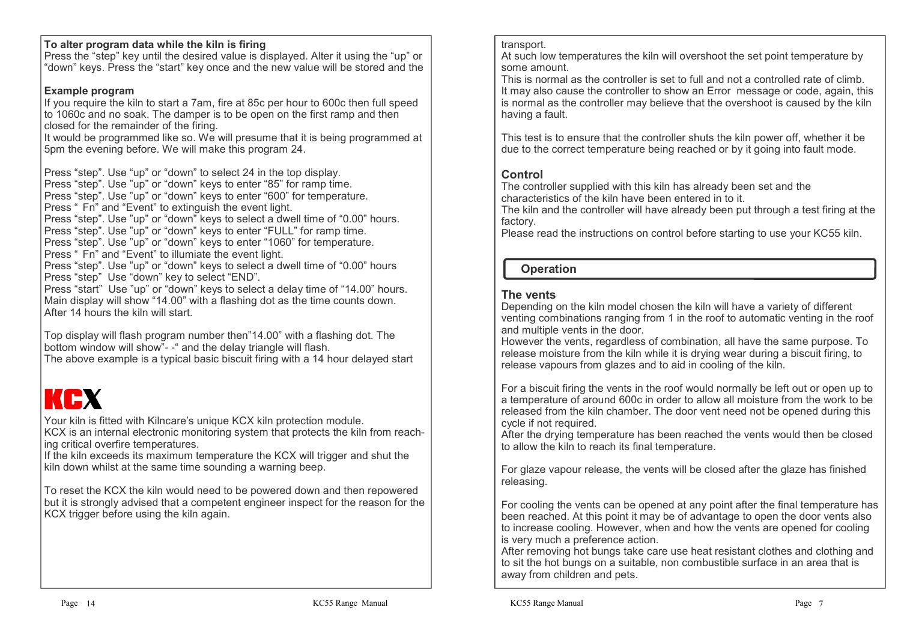### **To alter program data while the kiln is firing**

 Press the "step" key until the desired value is displayed. Alter it using the "up" or "down" keys. Press the "start" key once and the new value will be stored and the

## **Example program**

 If you require the kiln to start a 7am, fire at 85c per hour to 600c then full speed to 1060c and no soak. The damper is to be open on the first ramp and then closed for the remainder of the firing.

 It would be programmed like so. We will presume that it is being programmed at 5pm the evening before. We will make this program 24.

Press "step". Use "up" or "down" to select 24 in the top display.

Press "step". Use "up" or "down" keys to enter "85" for ramp time.

 Press "step". Use "up" or "down" keys to enter "600" for temperature.Press " Fn" and "Event" to extinguish the event light.

Press "step". Use "up" or "down" keys to select a dwell time of "0.00" hours.Press "step". Use "up" or "down" keys to enter "FULL" for ramp time.

Press "step". Use "up" or "down" keys to enter "1060" for temperature.

Press " Fn" and "Event" to illumiate the event light.

Press "step". Use "up" or "down" keys to select a dwell time of "0.00" hours Press "step" Use "down" key to select "END".

 Press "start" Use "up" or "down" keys to select a delay time of "14.00" hours.Main display will show "14.00" with a flashing dot as the time counts down. After 14 hours the kiln will start.

Top display will flash program number then"14.00" with a flashing dot. The bottom window will show"- -" and the delay triangle will flash.

The above example is a typical basic biscuit firing with a 14 hour delayed start

# KEX

Your kiln is fitted with Kilncare's unique KCX kiln protection module.

 KCX is an internal electronic monitoring system that protects the kiln from reaching critical overfire temperatures.

 If the kiln exceeds its maximum temperature the KCX will trigger and shut the kiln down whilst at the same time sounding a warning beep.

To reset the KCX the kiln would need to be powered down and then repowered but it is strongly advised that a competent engineer inspect for the reason for the KCX trigger before using the kiln again.

### transport.

 At such low temperatures the kiln will overshoot the set point temperature by some amount.

 This is normal as the controller is set to full and not a controlled rate of climb. It may also cause the controller to show an Error message or code, again, this is normal as the controller may believe that the overshoot is caused by the kiln having a fault.

This test is to ensure that the controller shuts the kiln power off, whether it be due to the correct temperature being reached or by it going into fault mode.

## **Control**

 The controller supplied with this kiln has already been set and the characteristics of the kiln have been entered in to it.

 The kiln and the controller will have already been put through a test firing at the factory.

Please read the instructions on control before starting to use your KC55 kiln.

## **Operation**

## **The vents**

 Depending on the kiln model chosen the kiln will have a variety of different venting combinations ranging from 1 in the roof to automatic venting in the roof and multiple vents in the door.

 However the vents, regardless of combination, all have the same purpose. To release moisture from the kiln while it is drying wear during a biscuit firing, to release vapours from glazes and to aid in cooling of the kiln.

For a biscuit firing the vents in the roof would normally be left out or open up to a temperature of around 600c in order to allow all moisture from the work to be released from the kiln chamber. The door vent need not be opened during this cycle if not required.

 After the drying temperature has been reached the vents would then be closed to allow the kiln to reach its final temperature.

For glaze vapour release, the vents will be closed after the glaze has finished releasing.

For cooling the vents can be opened at any point after the final temperature has been reached. At this point it may be of advantage to open the door vents also to increase cooling. However, when and how the vents are opened for cooling is very much a preference action.

 After removing hot bungs take care use heat resistant clothes and clothing and to sit the hot bungs on a suitable, non combustible surface in an area that is away from children and pets.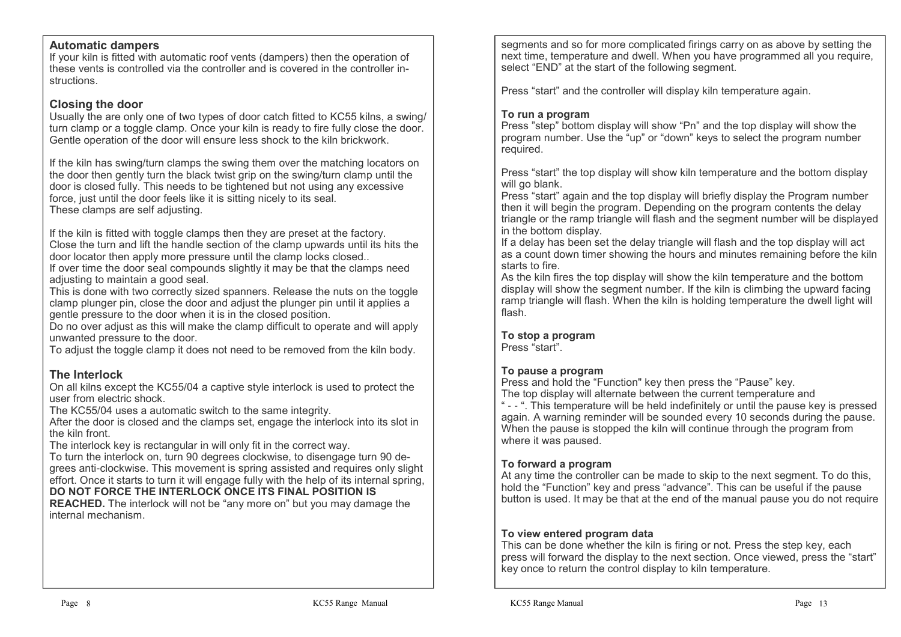### **Automatic dampers**

 If your kiln is fitted with automatic roof vents (dampers) then the operation of these vents is controlled via the controller and is covered in the controller instructions.

### **Closing the door**

 Usually the are only one of two types of door catch fitted to KC55 kilns, a swing/ turn clamp or a toggle clamp. Once your kiln is ready to fire fully close the door.Gentle operation of the door will ensure less shock to the kiln brickwork.

If the kiln has swing/turn clamps the swing them over the matching locators on the door then gently turn the black twist grip on the swing/turn clamp until the door is closed fully. This needs to be tightened but not using any excessive force, just until the door feels like it is sitting nicely to its seal.These clamps are self adjusting.

If the kiln is fitted with toggle clamps then they are preset at the factory. Close the turn and lift the handle section of the clamp upwards until its hits the door locator then apply more pressure until the clamp locks closed..

 If over time the door seal compounds slightly it may be that the clamps need adjusting to maintain a good seal.

 This is done with two correctly sized spanners. Release the nuts on the toggle clamp plunger pin, close the door and adjust the plunger pin until it applies a gentle pressure to the door when it is in the closed position.

 Do no over adjust as this will make the clamp difficult to operate and will apply unwanted pressure to the door.

To adjust the toggle clamp it does not need to be removed from the kiln body.

## **The Interlock**

 On all kilns except the KC55/04 a captive style interlock is used to protect the user from electric shock.

The KC55/04 uses a automatic switch to the same integrity.

 After the door is closed and the clamps set, engage the interlock into its slot in the kiln front.

The interlock key is rectangular in will only fit in the correct way.

 To turn the interlock on, turn 90 degrees clockwise, to disengage turn 90 degrees anti-clockwise. This movement is spring assisted and requires only slight effort. Once it starts to turn it will engage fully with the help of its internal spring,

### **DO NOT FORCE THE INTERLOCK ONCE ITS FINAL POSITION IS**

 **REACHED.** The interlock will not be "any more on" but you may damage the internal mechanism.

segments and so for more complicated firings carry on as above by setting the next time, temperature and dwell. When you have programmed all you require, select "END" at the start of the following segment.

Press "start" and the controller will display kiln temperature again.

### **To run a program**

 Press "step" bottom display will show "Pn" and the top display will show the program number. Use the "up" or "down" keys to select the program number required.

Press "start" the top display will show kiln temperature and the bottom display will go blank.

 Press "start" again and the top display will briefly display the Program number then it will begin the program. Depending on the program contents the delay triangle or the ramp triangle will flash and the segment number will be displayed in the bottom display.

 If a delay has been set the delay triangle will flash and the top display will act as a count down timer showing the hours and minutes remaining before the kiln starts to fire.

 As the kiln fires the top display will show the kiln temperature and the bottom display will show the segment number. If the kiln is climbing the upward facing ramp triangle will flash. When the kiln is holding temperature the dwell light will flash.

## **To stop a program**

Press "start".

### **To pause a program**

Press and hold the "Function" key then press the "Pause" key.

The top display will alternate between the current temperature and

 " - - ". This temperature will be held indefinitely or until the pause key is pressed again. A warning reminder will be sounded every 10 seconds during the pause. When the pause is stopped the kiln will continue through the program from where it was paused.

### **To forward a program**

 At any time the controller can be made to skip to the next segment. To do this, hold the "Function" key and press "advance". This can be useful if the pause button is used. It may be that at the end of the manual pause you do not require

### **To view entered program data**

 This can be done whether the kiln is firing or not. Press the step key, each press will forward the display to the next section. Once viewed, press the "start" key once to return the control display to kiln temperature.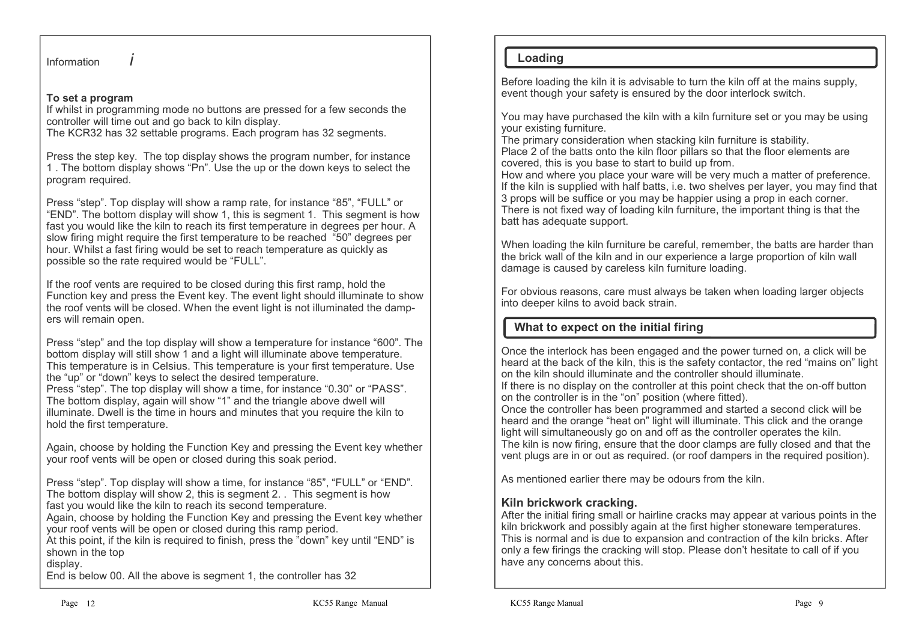### **To set a program**

 If whilst in programming mode no buttons are pressed for a few seconds the controller will time out and go back to kiln display.

The KCR32 has 32 settable programs. Each program has 32 segments.

Press the step key. The top display shows the program number, for instance 1 . The bottom display shows "Pn". Use the up or the down keys to select the program required.

Press "step". Top display will show a ramp rate, for instance "85", "FULL" or "END". The bottom display will show 1, this is segment 1. This segment is how fast you would like the kiln to reach its first temperature in degrees per hour. A slow firing might require the first temperature to be reached "50" degrees per hour. Whilst a fast firing would be set to reach temperature as quickly as possible so the rate required would be "FULL".

If the roof vents are required to be closed during this first ramp, hold the Function key and press the Event key. The event light should illuminate to show the roof vents will be closed. When the event light is not illuminated the dampers will remain open.

Press "step" and the top display will show a temperature for instance "600". The bottom display will still show 1 and a light will illuminate above temperature. This temperature is in Celsius. This temperature is your first temperature. Use the "up" or "down" keys to select the desired temperature.

 Press "step". The top display will show a time, for instance "0.30" or "PASS". The bottom display, again will show "1" and the triangle above dwell will illuminate. Dwell is the time in hours and minutes that you require the kiln to hold the first temperature.

Again, choose by holding the Function Key and pressing the Event key whether your roof vents will be open or closed during this soak period.

Press "step". Top display will show a time, for instance "85", "FULL" or "END". The bottom display will show 2, this is segment 2. . This segment is how fast you would like the kiln to reach its second temperature.

 Again, choose by holding the Function Key and pressing the Event key whether your roof vents will be open or closed during this ramp period.

 At this point, if the kiln is required to finish, press the "down" key until "END" is shown in the top

#### display.

End is below 00. All the above is segment 1, the controller has 32

## **Loading**

Before loading the kiln it is advisable to turn the kiln off at the mains supply, event though your safety is ensured by the door interlock switch.

You may have purchased the kiln with a kiln furniture set or you may be using your existing furniture.

 The primary consideration when stacking kiln furniture is stability. Place 2 of the batts onto the kiln floor pillars so that the floor elements are covered, this is you base to start to build up from.

 How and where you place your ware will be very much a matter of preference. If the kiln is supplied with half batts, i.e. two shelves per layer, you may find that 3 props will be suffice or you may be happier using a prop in each corner. There is not fixed way of loading kiln furniture, the important thing is that the batt has adequate support.

When loading the kiln furniture be careful, remember, the batts are harder than the brick wall of the kiln and in our experience a large proportion of kiln wall damage is caused by careless kiln furniture loading.

For obvious reasons, care must always be taken when loading larger objects into deeper kilns to avoid back strain.

## **What to expect on the initial firing**

Once the interlock has been engaged and the power turned on, a click will be heard at the back of the kiln, this is the safety contactor, the red "mains on" light on the kiln should illuminate and the controller should illuminate.

 If there is no display on the controller at this point check that the on-off button on the controller is in the "on" position (where fitted).

 Once the controller has been programmed and started a second click will be heard and the orange "heat on" light will illuminate. This click and the orange light will simultaneously go on and off as the controller operates the kiln. The kiln is now firing, ensure that the door clamps are fully closed and that the vent plugs are in or out as required. (or roof dampers in the required position).

As mentioned earlier there may be odours from the kiln.

## **Kiln brickwork cracking.**

 After the initial firing small or hairline cracks may appear at various points in the kiln brickwork and possibly again at the first higher stoneware temperatures. This is normal and is due to expansion and contraction of the kiln bricks. After only a few firings the cracking will stop. Please don't hesitate to call of if you have any concerns about this.